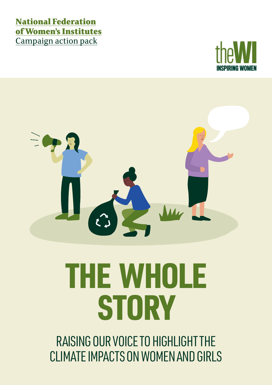### National Federation of Women's Institutes Campaign action pack





# THE WHOLE **STORY**

RAISING OUR VOICE TO HIGHLIGHT THE CLIMATE IMPACTS ON WOMEN AND GIRLS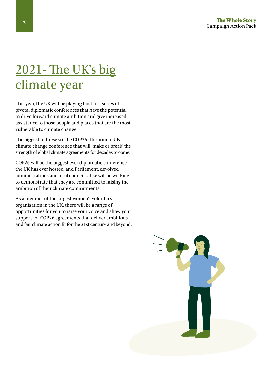### 2021- The UK's big climate year

This year, the UK will be playing host to a series of pivotal diplomatic conferences that have the potential to drive forward climate ambition and give increased assistance to those people and places that are the most vulnerable to climate change.

The biggest of these will be COP26- the annual UN climate change conference that will 'make or break' the strength of global climate agreements for decades to come.

COP26 will be the biggest ever diplomatic conference the UK has ever hosted, and Parliament, devolved administrations and local councils alike will be working to demonstrate that they are committed to raising the ambition of their climate commitments.

As a member of the largest women's voluntary organisation in the UK, there will be a range of opportunities for you to raise your voice and show your support for COP26 agreements that deliver ambitious and fair climate action fit for the 21st century and beyond.

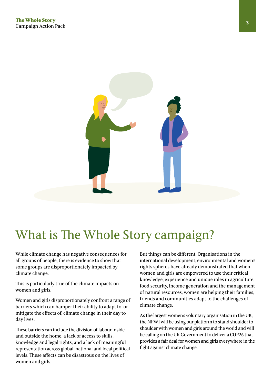

## What is The Whole Story campaign?

While climate change has negative consequences for all groups of people, there is evidence to show that some groups are disproportionately impacted by climate change.

This is particularly true of the climate impacts on women and girls.

Women and girls disproportionately confront a range of barriers which can hamper their ability to adapt to, or mitigate the effects of, climate change in their day to day lives.

These barriers can include the division of labour inside and outside the home, a lack of access to skills, knowledge and legal rights, and a lack of meaningful representation across global, national and local political levels. These affects can be disastrous on the lives of women and girls.

But things can be different. Organisations in the international development, environmental and women's rights spheres have already demonstrated that when women and girls are empowered to use their critical knowledge, experience and unique roles in agriculture, food security, income generation and the management of natural resources, women are helping their families, friends and communities adapt to the challenges of climate change.

As the largest women's voluntary organisation in the UK, the NFWI will be using our platform to stand shoulder to shoulder with women and girls around the world and will be calling on the UK Government to deliver a COP26 that provides a fair deal for women and girls everywhere in the fight against climate change.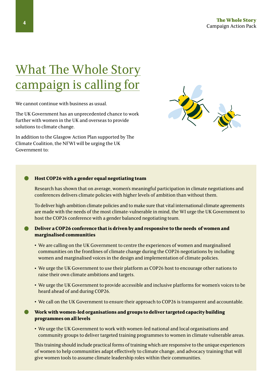### What The Whole Story campaign is calling for

We cannot continue with business as usual.

The UK Government has an unprecedented chance to work further with women in the UK and overseas to provide solutions to climate change.

In addition to the Glasgow Action Plan supported by The Climate Coalition, the NFWI will be urging the UK Government to:



### **Host COP26 with a gender equal negotiating team**  •

Research has shown that on average, women's meaningful participation in climate negotiations and conferences delivers climate policies with higher levels of ambition than without them.

To deliver high-ambition climate policies and to make sure that vital international climate agreements are made with the needs of the most climate-vulnerable in mind, the WI urge the UK Government to host the COP26 conference with a gender balanced negotiating team.

#### **Deliver a COP26 conference that is driven by and responsive to the needs of women and marginalised communities** •

- **•** We are calling on the UK Government to centre the experiences of women and marginalised communities on the frontlines of climate change during the COP26 negotiations by including women and marginalised voices in the design and implementation of climate policies.
- **•** We urge the UK Government to use their platform as COP26 host to encourage other nations to raise their own climate ambitions and targets.
- **•** We urge the UK Government to provide accessible and inclusive platforms for women's voices to be heard ahead of and during COP26.
- **•** We call on the UK Government to ensure their approach to COP26 is transparent and accountable.

#### **Work with women-led organisations and groups to deliver targeted capacity building programmes on all levels**  •

**•** We urge the UK Government to work with women-led national and local organisations and community groups to deliver targeted training programmes to women in climate vulnerable areas.

This training should include practical forms of training which are responsive to the unique experiences of women to help communities adapt effectively to climate change, and advocacy training that will give women tools to assume climate leadership roles within their communities.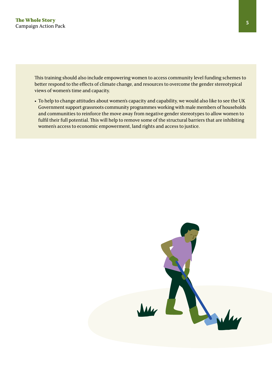This training should also include empowering women to access community level funding schemes to better respond to the effects of climate change, and resources to overcome the gender stereotypical views of women's time and capacity.

**•** To help to change attitudes about women's capacity and capability, we would also like to see the UK Government support grassroots community programmes working with male members of households and communities to reinforce the move away from negative gender stereotypes to allow women to fulfil their full potential. This will help to remove some of the structural barriers that are inhibiting women's access to economic empowerment, land rights and access to justice.

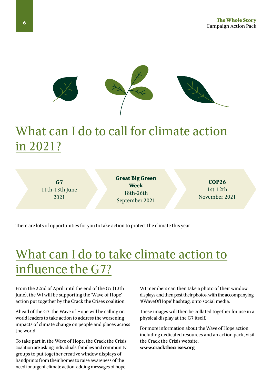

### What can I do to call for climate action in 2021?

**G7** 11th-13th June 2021

**Great Big Green Week** 18th-26th September 2021

**COP26** 1st-12th November 2021

There are lots of opportunities for you to take action to protect the climate this year.

### What can I do to take climate action to influence the G7?

From the 22nd of April until the end of the G7 (13th June), the WI will be supporting the 'Wave of Hope' action put together by the Crack the Crises coalition.

Ahead of the G7, the Wave of Hope will be calling on world leaders to take action to address the worsening impacts of climate change on people and places across the world.

To take part in the Wave of Hope, the Crack the Crisis coalition are asking individuals, families and community groups to put together creative window displays of handprints from their homes to raise awareness of the need for urgent climate action, adding messages of hope.

WI members can then take a photo of their window displays and then post their photos, with the accompanying '#WaveOfHope' hashtag, onto social media.

These images will then be collated together for use in a physical display at the G7 itself.

For more information about the Wave of Hope action, including dedicated resources and an action pack, visit the Crack the Crisis website: **www.crackthecrises.org**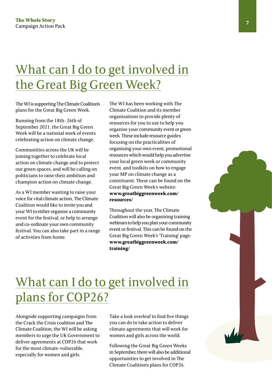### What can I do to get involved in the Great Big Green Week?

The WI is supporting The Climate Coalition's plans for the Great Big Green Week.

Running from the 18th- 26th of September 2021, the Great Big Green Week will be a national week of events celebrating action on climate change.

Communities across the UK will be joining together to celebrate local action on climate change and to protect our green spaces, and will be calling on politicians to raise their ambition and champion action on climate change.

As a WI member wanting to raise your voice for vital climate action, The Climate Coalition would like to invite you and your WI to either organise a community event for the festival, or help to arrange and co-ordinate your own community festival. You can also take part in a range of activities from home.

The WI has been working with The Climate Coalition and its member organisations to provide plenty of resources for you to use to help you organise your community event or green week. These include resource guides focusing on the practicalities of organising your own event, promotional resources which would help you advertise your local green week or community event, and toolkits on how to engage your MP on climate change as a constituent. These can be found on the Great Big Green Week's website: **www.greatbiggreenweek.com/ resources/**

Throughout the year, The Climate Coalition will also be organising training webinars to help you plan your community event or festival. This can be found on the Great Big Green Week's 'Training' page: **www.greatbiggreenweek.com/ training/**

### What can I do to get involved in plans for COP26?

Alongside supporting campaigns from the Crack the Crisis coalition and The Climate Coalition, the WI will be asking members to urge the UK Government to deliver agreements at COP26 that work for the most climate-vulnerable, especially for women and girls.

Take a look overleaf to find five things you can do to take action to deliver climate agreements that will work for women and girls across the world.

Following the Great Big Green Weeks in September, there will also be additional opportunities to get involved in The Climate Coalition's plans for COP26.

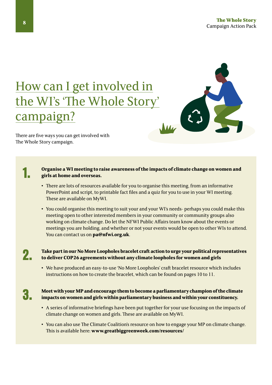### How can I get involved in the WI's 'The Whole Story' campaign?



There are five ways you can get involved with The Whole Story campaign.

#### **Organise a WI meeting to raise awareness of the impacts of climate change on women and girls at home and overseas.**

- **•** There are lots of resources available for you to organise this meeting, from an informative PowerPoint and script, to printable fact files and a quiz for you to use in your WI meeting. These are available on MyWI.
- **•** You could organise this meeting to suit your and your WI's needs- perhaps you could make this meeting open to other interested members in your community or community groups also working on climate change. Do let the NFWI Public Affairs team know about the events or meetings you are holding, and whether or not your events would be open to other WIs to attend. You can contact us on **pa@nfwi.org.uk**.

### 2.

1.

**Take part in our No More Loopholes bracelet craft action to urge your political representatives to deliver COP26 agreements without any climate loopholes for women and girls** 

**•** We have produced an easy-to-use 'No More Loopholes' craft bracelet resource which includes instructions on how to create the bracelet, which can be found on pages 10 to 11.

3.

#### **Meet with your MP and encourage them to become a parliamentary champion of the climate impacts on women and girls within parliamentary business and within your constituency.**

- **•** A series of informative briefings have been put together for your use focusing on the impacts of climate change on women and girls. These are available on MyWI.
- **•** You can also use The Climate Coalition's resource on how to engage your MP on climate change. This is available here: **www.greatbiggreenweek.com/resources/**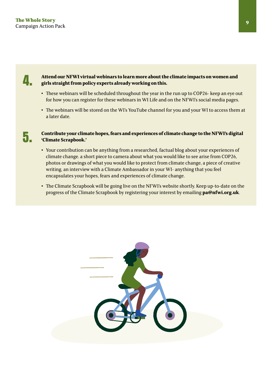

5.

#### **Attend our NFWI virtual webinars to learn more about the climate impacts on women and girls straight from policy experts already working on this.**

- **•** These webinars will be scheduled throughout the year in the run up to COP26- keep an eye out for how you can register for these webinars in WI Life and on the NFWI's social media pages.
- **•** The webinars will be stored on the WI's YouTube channel for you and your WI to access them at a later date.

**Contribute your climate hopes, fears and experiences of climate change to the NFWI's digital 'Climate Scrapbook.'** 

- **•** Your contribution can be anything from a researched, factual blog about your experiences of climate change. a short piece to camera about what you would like to see arise from COP26, photos or drawings of what you would like to protect from climate change, a piece of creative writing, an interview with a Climate Ambassador in your WI- anything that you feel encapsulates your hopes, fears and experiences of climate change.
- **•** The Climate Scrapbook will be going live on the NFWI's website shortly. Keep up-to-date on the progress of the Climate Scrapbook by registering your interest by emailing **pa@nfwi.org.uk**.

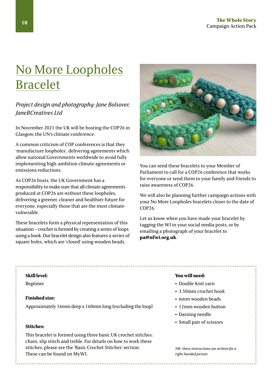### No More Loopholes Bracelet

*Project design and photography: Jane Bolsover, JaneBCreatives Ltd*

In November 2021 the UK will be hosting the COP26 in Glasgow, the UN's climate conference.

A common criticism of COP conferences is that they 'manufacture loopholes', delivering agreements which allow national Governments worldwide to avoid fully implementing high-ambition climate agreements or emissions reductions.

As COP26 hosts, the UK Government has a responsibility to make sure that all climate agreements produced at COP26 are without these loopholes, delivering a greener, cleaner and healthier future for everyone, especially those that are the most climatevulnerable.

These bracelets form a physical representation of this situation – crochet is formed by creating a series of loops using a hook. Our bracelet design also features a series of square holes, which are 'closed' using wooden beads.



You can send these bracelets to your Member of Parliament to call for a COP26 conference that works for everyone or send them to your family and friends to raise awareness of COP26.

We will also be planning further campaign actions with your No More Loopholes bracelets closer to the date of COP26.

Let us know when you have made your bracelet by tagging the WI in your social media posts, or by emailing a photograph of your bracelet to **pa@nfwi.org.uk**.

Beginner

#### **Finished size:**

Approximately 16mm deep x 160mm long (excluding the loop)

#### **Stitches:**

This bracelet is formed using three basic UK crochet stitches: chain, slip stitch and treble. For details on how to work these stitches, please see the 'Basic Crochet Stitches' section. These can be found on MyWI.

#### **Skill level: You will need:**

- **•** Double Knit yarn
- **•** 3.50mm crochet hook
- **•** 6mm wooden beads
- **•** 12mm wooden button
- **•** Darning needle
- **•** Small pair of scissors

*NB- these instructions are written for a right-handed person.*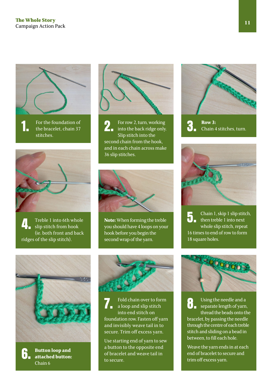



Treble 1 into 6th whole slip stitch from hook (ie. both front and back ridges of the slip stitch).



Slip stitch into the second chain from the hook, and in each chain across make 36 slip stitches.



4. **Note:** When forming the treble you should have 4 loops on your hook before you begin the second wrap of the yarn.





Chain 1, skip 1 slip stitch, then treble 1 into next whole slip stitch, repeat 16 times to end of row to form 18 square holes. 5.



6.

**Button loop and attached button:** Chain 6



Fold chain over to form a loop and slip stitch into end stitch on foundation row. Fasten off yarn and invisibly weave tail in to secure. Trim off excess yarn. Fold chain over to form<br>a loop and slip stitch<br>integral of yarn, the separate length of yarn,<br>three dished separate length of yarn,

Use starting end of yarn to sew a button to the opposite end of bracelet and weave tail in to secure.



thread the beads onto the bracelet, by passing the needle through the centre of each treble stitch and sliding on a bead in between, to fill each hole.

Weave the yarn ends in at each end of bracelet to secure and trim off excess yarn.